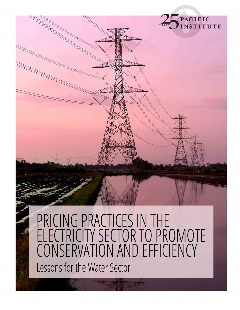

## PRICING PRACTICES IN THE<br>ELECTRICITY SECTOR TO PROMOTE CONSERVATION AND EFFICIENCY Lessons for the Water Sector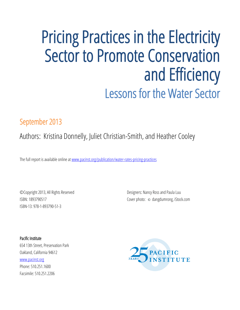## Pricing Practices in the Electricity Sector to Promote Conservation and Efficiency Lessons for the Water Sector

#### September 2013

### Authors: Kristina Donnelly, Juliet Christian-Smith, and Heather Cooley

The full report is available online at [www.pacinst.org/publication/water-rates-pricing-practices](http://www.pacinst.org/publication/water-rates-pricing-practices)

©Copyright 2013, All Rights Reserved ISBN: 1893790517 ISBN-13: 978-1-893790-51-3

Designers: Nancy Ross and Paula Luu Cover photo: © [dangdumrong, iStock.com](http://www.istockphoto.com/user_view.php?id=3626039)

Pacific Institute 654 13th Street, Preservation Park Oakland, California 94612 [www.pacinst.org](http://www.pacinst.org/) Phone: 510.251.1600 Facsimile: 510.251.2206

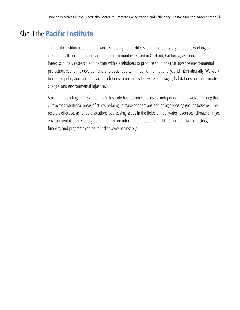#### About the **Pacific Institute**

The Pacific Institute is one of the world's leading nonprofit research and policy organizations working to create a healthier planet and sustainable communities. Based in Oakland, California, we conduct interdisciplinary research and partner with stakeholders to produce solutions that advance environmental protection, economic development, and social equity – in California, nationally, and internationally. We work to change policy and find real-world solutions to problems like water shortages, habitat destruction, climate change, and environmental injustice.

Since our founding in 1987, the Pacific Institute has become a locus for independent, innovative thinking that cuts across traditional areas of study, helping us make connections and bring opposing groups together. The result is effective, actionable solutions addressing issues in the fields of freshwater resources, climate change, environmental justice, and globalization. More information about the Institute and our staff, directors, funders, and programs can be found at www.pacinst.org.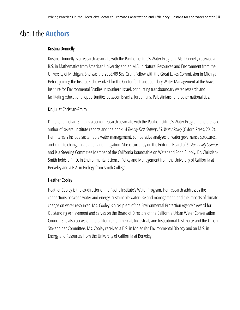#### About the **Authors**

#### Kristina Donnelly

Kristina Donnelly is a research associate with the Pacific Institute's Water Program. Ms. Donnelly received a B.S. in Mathematics from American University and an M.S. in Natural Resources and Environment from the University of Michigan. She was the 2008/09 Sea Grant Fellow with the Great Lakes Commission in Michigan. Before joining the Institute, she worked for the Center for Transboundary Water Management at the Arava Institute for Environmental Studies in southern Israel, conducting transboundary water research and facilitating educational opportunities between Israelis, Jordanians, Palestinians, and other nationalities.

#### Dr. Juliet Christian-Smith

Dr. Juliet Christian-Smith is a senior research associate with the Pacific Institute's Water Program and the lead author of several Institute reports and the book: *A Twenty-First Century U.S. Water Policy* (Oxford Press, 2012). Her interests include sustainable water management, comparative analyses of water governance structures, and climate change adaptation and mitigation.She is currently on the Editorial Board of *Sustainability Science* and is a Steering Committee Member of the California Roundtable on Water and Food Supply. Dr. Christian-Smith holds a Ph.D. in Environmental Science, Policy and Management from the University of California at Berkeley and a B.A. in Biology from Smith College.

#### Heather Cooley

Heather Cooley is the co-director of the Pacific Institute's Water Program. Her research addresses the connections between water and energy, sustainable water use and management, and the impacts of climate change on water resources. Ms. Cooley is a recipient of the Environmental Protection Agency's Award for Outstanding Achievement and serves on the Board of Directors of the California Urban Water Conservation Council. She also serves on the California Commercial, Industrial, and Institutional Task Force and the Urban Stakeholder Committee. Ms. Cooley received a B.S. in Molecular Environmental Biology and an M.S. in Energy and Resources from the University of California at Berkeley.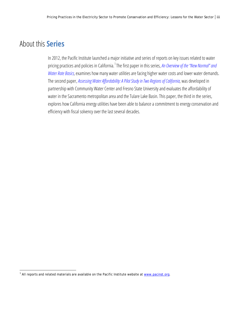#### About this **Series**

In 2012, the Pacific Institute launched a major initiative and series of reports on key issues related to water pricing practices and policies in California.<sup>[1](#page-4-0)</sup> The first paper in this series, *An Overview of the "New Normal" and [Water Rate Basics,](http://www.pacinst.org/publication/water-rates-series/)* examines how many water utilities are facing higher water costs and lower water demands. The second paper, *[Assessing Water Affordability: A Pilot Study in Two Regions of California,](http://www.pacinst.org/wp-content/uploads/2013/08/assessing-water-affordability.pdf)* was developed in partnership with Community Water Center and Fresno State University and evaluates the affordability of water in the Sacramento metropolitan area and the Tulare Lake Basin. This paper, the third in the series, explores how California energy utilities have been able to balance a commitment to energy conservation and efficiency with fiscal solvency over the last several decades.

<span id="page-4-0"></span> $1$  All reports and related materials are available on the Pacific Institute website at  $www.pacinst.org$ .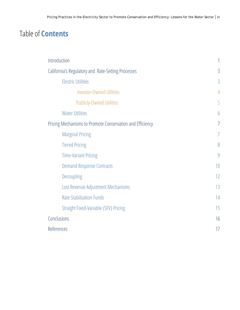#### Table of **Contents**

| Introduction                                              | 1              |
|-----------------------------------------------------------|----------------|
| California's Regulatory and Rate-Setting Processes        | 3              |
| <b>Electric Utilities</b>                                 | 3              |
| <b>Investor-Owned Utilities</b>                           | $\overline{4}$ |
| <b>Publicly-Owned Utilities</b>                           | 5              |
| <b>Water Utilities</b>                                    | $\overline{6}$ |
| Pricing Mechanisms to Promote Conservation and Efficiency | $\overline{1}$ |
| <b>Marginal Pricing</b>                                   | 7              |
| <b>Tiered Pricing</b>                                     | 8              |
| <b>Time-Variant Pricing</b>                               | 9              |
| <b>Demand Response Contracts</b>                          | 10             |
| Decoupling                                                | 12             |
| Lost Revenue Adjustment Mechanisms                        | 13             |
| <b>Rate Stabilization Funds</b>                           | 14             |
| Straight Fixed-Variable (SFV) Pricing                     | 15             |
| Conclusions                                               | 16             |
| References                                                | 17             |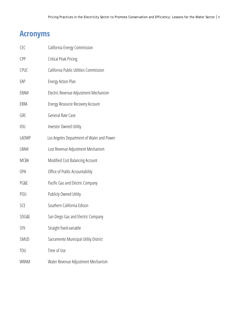#### **Acronyms**

| <b>CEC</b>  | California Energy Commission              |
|-------------|-------------------------------------------|
| <b>CPP</b>  | <b>Critical Peak Pricing</b>              |
| <b>CPUC</b> | California Public Utilities Commission    |
| EAP         | <b>Energy Action Plan</b>                 |
| ERAM        | Electric Revenue Adjustment Mechanism     |
| ERRA        | <b>Energy Resource Recovery Account</b>   |
| GRC         | General Rate Case                         |
| <b>IOU</b>  | Investor Owned Utility                    |
| LADWP       | Los Angeles Department of Water and Power |
| <b>LRAM</b> | Lost Revenue Adjustment Mechanism         |
| <b>MCBA</b> | Modified Cost Balancing Account           |
| OPA         | Office of Public Accountability           |
| PG&E        | Pacific Gas and Electric Company          |
| POU         | Publicly Owned Utility                    |
| SCE         | Southern California Edison                |
| SDG&E       | San Diego Gas and Electric Company        |
| <b>SFV</b>  | Straight fixed-variable                   |
| SMUD        | Sacramento Municipal Utility District     |
| <b>TOU</b>  | Time of Use                               |
| <b>WRAM</b> | Water Revenue Adjustment Mechanism        |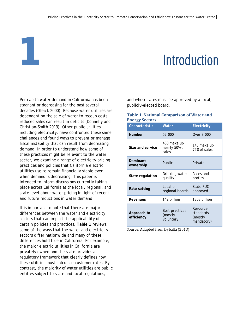# <span id="page-7-0"></span>**1** Introduction

Per capita water demand in California has been stagnant or decreasing for the past several decades (Gleick 2000). Because water utilities are dependent on the sale of water to recoup costs, reduced sales can result in deficits (Donnelly and Christian-Smith 2013). Other public utilities, including electricity, have confronted these same challenges and found ways to prevent or manage fiscal instability that can result from decreasing demand. In order to understand how some of these practices might be relevant to the water sector, we examine a range of electricity pricing practices and policies that California electric utilities use to remain financially stable even when demand is decreasing. This paper is intended to inform discussions currently taking place across California at the local, regional, and state level about water pricing in light of recent and future reductions in water demand.

It is important to note that there are major differences between the water and electricity sectors that can impact the applicability of certain policies and practices. **Table 1** reviews some of the ways that the water and electricity sectors differ nationwide and many of these differences hold true in California. For example, the major electric utilities in California are privately owned and the state provides a regulatory framework that clearly defines how these utilities must calculate customer rates. By contrast, the majority of water utilities are public entities subject to state and local regulations,

and whose rates must be approved by a local, publicly-elected board.

#### **Table 1. National Comparison of Water and Energy Sectors**

| <b>Characteristic</b>     | Water                                   | <b>Electricity</b>                             |
|---------------------------|-----------------------------------------|------------------------------------------------|
| <b>Number</b>             | 52,000                                  | Over 3,000                                     |
| Size and service          | 400 make up<br>nearly 50% of<br>sales   | 145 make up<br>75% of sales                    |
| Dominant<br>ownership     | Public                                  | Private                                        |
| State regulation          | Drinking water<br>quality               | Rates and<br>profits                           |
| Rate setting              | Local or<br>regional boards             | State PUC<br>approved                          |
| Revenues                  | \$42 billion                            | \$368 billion                                  |
| Approach to<br>efficiency | Best practices<br>(mostly<br>voluntary) | Resource<br>standards<br>(mostly<br>mandatory) |

Source: Adapted from Dyballa (2013)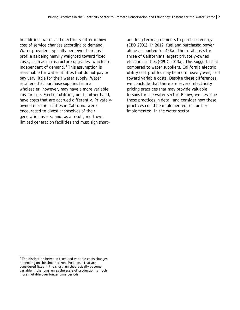In addition, water and electricity differ in how cost of service changes according to demand. Water providers typically perceive their cost profile as being heavily weighted toward fixed costs, such as infrastructure upgrades, which are independent of demand. $<sup>2</sup>$  $<sup>2</sup>$  $<sup>2</sup>$  This assumption is</sup> reasonable for water utilities that do not pay or pay very little for their water supply. Water retailers that purchase supplies from a wholesaler, however, may have a more variable cost profile. Electric utilities, on the other hand, have costs that are accrued differently. Privatelyowned electric utilities in California were encouraged to divest themselves of their generation assets, and, as a result, most own limited generation facilities and must sign shortand long-term agreements to purchase energy (CBO 2001). In 2012, fuel and purchased power alone accounted for 45% of the total costs for three of California's largest privately-owned electric utilities (CPUC 2013a). This suggests that, compared to water suppliers, California electric utility cost profiles may be more heavily weighted toward variable costs. Despite these differences, we conclude that there are several electricity pricing practices that may provide valuable lessons for the water sector. Below, we describe these practices in detail and consider how these practices could be implemented, or further implemented, in the water sector.

<span id="page-8-0"></span> $2$  The distinction between fixed and variable costs changes depending on the time horizon. Most costs that are considered fixed in the short run theoretically become variable in the long run as the scale of production is much more mutable over longer time periods.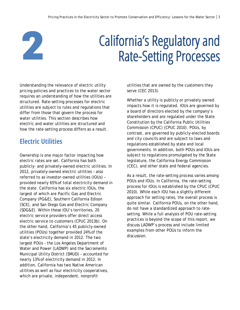<span id="page-9-0"></span>

## California's Regulatory and Rate-Setting Processes

Understanding the relevance of electric utility pricing policies and practices to the water sector requires an understanding of how the utilities are structured. Rate-setting processes for electric utilities are subject to rules and regulations that differ from those that govern the process for water utilities. This section describes how electric and water utilities are structured and how the rate-setting process differs as a result.

#### <span id="page-9-1"></span>**Electric Utilities**

Ownership is one major factor impacting how electric rates are set. California has both publicly- and privately-owned electric utilities. In 2012, privately-owned electric utilities – also referred to as investor-owned utilities (IOUs) – provided nearly 65% of total electricity demand in the state. California has six electric IOUs, the largest of which are Pacific Gas and Electric Company (PG&E), Southern California Edison (SCE), and San Diego Gas and Electric Company (SDG&E). Within these IOU's territories, 20 electric service providers offer direct access electric service to customers (CPUC 2013b). On the other hand, California's 45 publicly-owned utilities (POUs) together provided 24% of the state's electricity demand in 2012. The two largest POUs – the Los Angeles Department of Water and Power (LADWP) and the Sacramento Municipal Utility District (SMUD) – accounted for nearly 13% of electricity demand in 2012. In addition, California has two Native American utilities as well as four electricity cooperatives, which are private, independent, nonprofit

utilities that are owned by the customers they serve (CEC 2013).

Whether a utility is publicly or privately owned impacts how it is regulated. IOUs are governed by a board of directors elected by the company's shareholders and are regulated under the State Constitution by the California Public Utilities Commission (CPUC) (CPUC 2010). POUs, by contrast, are governed by publicly-elected boards and city councils and are subject to laws and regulations established by state and local governments. In addition, both POUs and IOUs are subject to regulations promulgated by the State legislature, the California Energy Commission (CEC), and other state and federal agencies.

As a result, the rate-setting process varies among POUs and IOUs. In California, the rate-setting process for IOUs is established by the CPUC (CPUC 2010). While each IOU has a slightly different approach for setting rates, the overall process is quite similar. California POUs, on the other hand, do not have a standardized approach to ratesetting. While a full analysis of POU rate-setting practices is beyond the scope of this report, we discuss LADWP's process and include limited examples from other POUs to inform the discussion.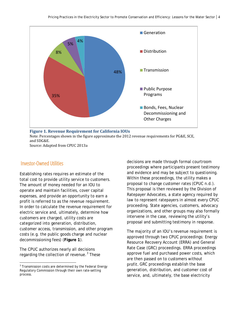

Note: Percentages shown in the figure approximate the 2012 revenue requirements for PG&E, SCE, and SDG&E.

Source: Adapted from CPUC 2013a

#### <span id="page-10-0"></span>Investor-Owned Utilities

Establishing rates requires an estimate of the total cost to provide utility service to customers. The amount of money needed for an IOU to operate and maintain facilities, cover capital expenses, and provide an opportunity to earn a profit is referred to as the revenue requirement. In order to calculate the revenue requirement for electric service and, ultimately, determine how customers are charged, utility costs are categorized into generation, distribution, customer access, transmission, and other program costs (e.g. the public goods charge and nuclear decommissioning fees) (**Figure 1**).

The CPUC authorizes nearly all decisions regarding the collection of revenue.<sup>[3](#page-10-1)</sup> These decisions are made through formal courtroom proceedings where participants present testimony and evidence and may be subject to questioning. Within these proceedings, the utility makes a proposal to change customer rates (CPUC n.d.). This proposal is then reviewed by the Division of Ratepayer Advocates, a state agency required by law to represent ratepayers in almost every CPUC proceeding. State agencies, customers, advocacy organizations, and other groups may also formally intervene in the case, reviewing the utility's proposal and submitting testimony in response.

The majority of an IOU's revenue requirement is approved through two CPUC proceedings: Energy Resource Recovery Account (ERRA) and General Rate Case (GRC) proceedings. ERRA proceedings approve fuel and purchased power costs, which are then passed on to customers without profit. GRC proceedings establish the base generation, distribution, and customer cost of service, and, ultimately, the base electricity

<span id="page-10-1"></span> $3$  Transmission costs are determined by the Federal Energy Regulatory Commission through their own rate-setting process.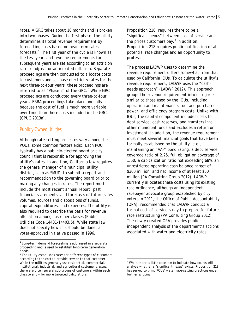rates. A GRC takes about 18 months and is broken into two phases. During the first phase, the utility determines its total revenue requirement by forecasting costs based on near-term sales forecasts.[4](#page-11-1) The first year of the cycle is known as the test year, and revenue requirements for subsequent years are set according to an attrition rate to adjust for anticipated inflation. Separate proceedings are then conducted to allocate costs to customers and set base electricity rates for the next three-to-four years; these proceedings are referred to as "Phase 2" of the GRC.<sup>[5](#page-11-2)</sup> While GRC proceedings are conducted every three-to-four years, ERRA proceedings take place annually because the cost of fuel is much more variable over time than those costs included in the GRCs (CPUC 2013a).

#### <span id="page-11-0"></span>Publicly-Owned Utilities

Although rate-setting processes vary among the POUs, some common factors exist. Each POU typically has a publicly-elected board or city council that is responsible for approving the utility's rates. In addition, California law requires the general manager of a municipal utility district, such as SMUD, to submit a report and recommendation to the governing board prior to making any changes to rates. The report must include the most recent annual report; past financial statements; and forecasts of future sales volumes, sources and dispositions of funds, capital expenditures, and expenses. The utility is also required to describe the basis for revenue allocation among customer classes (Public Utilities Code 14401-14403.5). While state law does not specify how this should be done, a voter-approved initiative passed in 1996,

Proposition 218, requires there to be a "significant nexus" between cost-of-service and the prices customers pay. [6](#page-11-3) In addition, Proposition 218 requires public notification of all potential rate changes and an opportunity to protest.

The process LADWP uses to determine the revenue requirement differs somewhat from that used by California IOUs. To calculate the utility's revenue requirement, LADWP uses the "cashneeds approach" (LADWP 2012). This approach groups the revenue requirement into categories similar to those used by the IOUs, including operation and maintenance, fuel and purchased power, and efficiency program costs. Unlike with IOUs, the capital component includes costs for debt service, cash reserves, and transfers into other municipal funds and excludes a return on investment. In addition, the revenue requirement must meet several financial goals that have been formally established by the utility, e.g., maintaining an "AA-" bond rating, a debt service coverage ratio of 2.25, full obligation coverage of 1.50, a capitalization ratio not exceeding 68%, an unrestricted operating cash balance target of \$300 million, and net income of at least \$50 million (PA Consulting Group 2012). LADWP currently allocates these costs using its existing rate ordinance, although an independent ratepayer advocate group established by city voters in 2011, the Office of Public Accountability (OPA), recommended that LADWP conduct a formal cost-of-service study to prepare for future rate restructuring (PA Consulting Group 2012). The newly created OPA provides public independent analysis of the department's actions associated with water and electricity rates.

<span id="page-11-1"></span><sup>4</sup> Long-term demand forecasting is addressed in a separate proceeding and is used to establish long-term generation needs.

<span id="page-11-3"></span><span id="page-11-2"></span> $5$  The utility establishes rates for different types of customers according to the cost to provide service to that customer. While the utilities generally use residential, commercial, institutional, industrial, and agricultural customer classes, there are often several sub-groups of customers within each class to allow for more targeted calculations.

 $6$  While there is little case law to indicate how courts will analyze whether a "significant nexus" exists, Proposition 218 has served to bring POUs' water rate-setting practices under further scrutiny.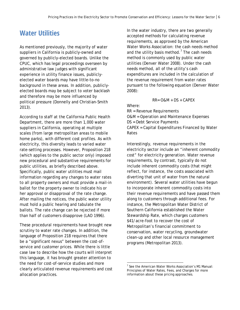#### <span id="page-12-0"></span>**Water Utilities**

As mentioned previously, the majority of water suppliers in California is publicly-owned and governed by publicly-elected boards. Unlike the CPUC, which has legal proceedings overseen by administrative law judges with significant experience in utility finance issues, publiclyelected water boards may have little-to-no background in these areas. In addition, publiclyelected boards may be subject to voter backlash and therefore may be more influenced by political pressure (Donnelly and Christian-Smith 2013).

According to staff at the California Public Health Department, there are more than 1,000 water suppliers in California, operating at multiple scales (from large metropolitan areas to mobile home parks), with different cost profiles. As with electricity, this diversity leads to varied water rate-setting processes. However, Proposition 218 (which applies to the public sector only) imposed new procedural and substantive requirements for public utilities, as briefly described above. Specifically, public water utilities must mail information regarding any changes to water rates to all property owners and must provide a mail-in ballot for the property owner to indicate his or her approval or disapproval of the rate change. After mailing the notices, the public water utility must hold a public hearing and tabulate the ballots. The rate change can be rejected if more than half of customers disapprove (LAO 1996).

<span id="page-12-1"></span>These procedural requirements have brought new scrutiny to water rate changes. In addition, the language of Proposition 218 requires that there be a "significant nexus" between the cost-ofservice and customer prices. While there is little case law to describe how the courts will interpret this language, it has brought greater attention to the need for cost-of-service studies and more clearly articulated revenue requirements and cost allocation practices.

In the water industry, there are two generally accepted methods for calculating revenue requirements, as approved by the American Water Works Association: the cash needs method and the utility basis method.<sup>[7](#page-12-1)</sup> The cash needs method is commonly used by public water utilities (Denver Water 2008). Under the cash needs method, all of the utility's cash expenditures are included in the calculation of the revenue requirement from water rates pursuant to the following equation (Denver Water 2008):

$$
RR = O&M + DS + CAPEX
$$

Where:

RR = Revenue Requirements O&M = Operation and Maintenance Expenses DS = Debt Service Payments CAPEX = Capital Expenditures Financed by Water Rates

Interestingly, revenue requirements in the electricity sector include an "inherent commodity cost" for electricity generation. Water revenue requirements, by contrast, typically do not include inherent commodity costs (that might reflect, for instance, the costs associated with diverting that unit of water from the natural environment). Several water utilities have begun to incorporate inherent commodity costs into their revenue requirements and have passed them along to customers through additional fees. For instance, the Metropolitan Water District of Southern California established the Water Stewardship Rate, which charges customers \$41/acre-foot to recover the cost of Metropolitan's financial commitment to conservation, water recycling, groundwater clean-up and other local resource management programs (Metropolitan 2013).

 $<sup>7</sup>$  See the American Water Works Association's M1 Manual:</sup> Principles of Water Rates, Fees, and Charges for more information about these pricing approaches.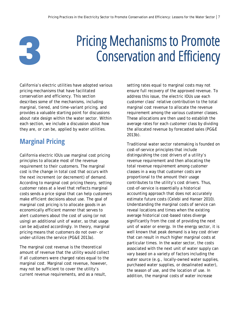## Pricing Mechanisms to Promote Conservation and Efficiency

California's electric utilities have adopted various pricing mechanisms that have facilitated conservation and efficiency. This section describes some of the mechanisms, including marginal, tiered, and time-variant pricing, and provides a valuable starting point for discussions about rate design within the water sector. Within each section, we include a discussion about how they are, or can be, applied by water utilities.

#### <span id="page-13-1"></span>**Marginal Pricing**

<span id="page-13-0"></span>**3**

California electric IOUs use marginal cost pricing principles to allocate most of the revenue requirement to their customers. The marginal cost is the change in total cost that occurs with the next increment (or decrement) of demand. According to marginal cost pricing theory, setting customer rates at a level that reflects marginal costs sends a price signal that can help customers make efficient decisions about use. The goal of marginal cost pricing is to allocate goods in an economically efficient manner that serves to alert customers about the cost of using (or not using) an additional unit of water, so that usage can be adjusted accordingly. In theory, marginal pricing means that customers do not over- or under-utilizes the service (PG&E 2013a).

The marginal cost revenue is the theoretical amount of revenue that the utility would collect if all customers were charged rates equal to the marginal cost. Marginal cost revenue, however, may not be sufficient to cover the utility's current revenue requirements, and as a result,

setting rates equal to marginal costs may not ensure full recovery of the approved revenue. To address this issue, the electric IOUs use each customer class' relative contribution to the total marginal cost revenue to allocate the revenue requirement among the various customer classes. These allocations are then used to establish the average rates for each customer class by dividing the allocated revenue by forecasted sales (PG&E 2013b).

Traditional water sector ratemaking is founded on cost-of-service principles that include distinguishing the cost drivers of a utility's revenue requirement and then allocating the total revenue requirement among customer classes in a way that customer costs are proportional to the amount their usage contributes to the utility's cost drivers. Thus, cost-of-service is essentially a historical accounting approach that does not accurately estimate future costs (Celebi and Hanser 2010). Understanding the marginal costs of service can reveal locations and times when the existing average historical cost-based rates diverge significantly from the cost of providing the next unit of water or energy. In the energy sector, it is well known that peak demand is a key cost driver that can result in much higher marginal costs at particular times. In the water sector, the costs associated with the next unit of water supply can vary based on a variety of factors including the water source (e.g., locally-owned water supplies, purchased water supplies, or desalinated water), the season of use, and the location of use. In addition, the marginal costs of water increase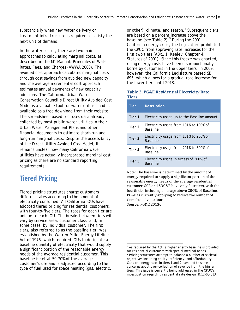substantially when new water delivery or treatment infrastructure is required to satisfy the next unit of demand.

In the water sector, there are two main approaches to calculating marginal costs, as described in the M1 Manual: Principles of Water Rates, Fees, and Charges (AWWA 2000). The avoided cost approach calculates marginal costs through cost savings from avoided new capacity and the average incremental cost approach estimates annual payments of new capacity additions. The California Urban Water Conservation Council's Direct Utility Avoided Cost Model is a valuable tool for water utilities and is available as a free download from their website. The spreadsheet-based tool uses data already collected by most public water utilities in their Urban Water Management Plans and other financial documents to estimate short-run and long-run marginal costs. Despite the accessibility of the Direct Utility Avoided Cost Model, it remains unclear how many California water utilities have actually incorporated marginal cost pricing as there are no standard reporting requirements.

#### <span id="page-14-0"></span>**Tiered Pricing**

<span id="page-14-2"></span><span id="page-14-1"></span>Tiered pricing structures charge customers different rates according to the amount of electricity consumed. All California IOUs have adopted tiered pricing for residential customers, with four-to-five tiers. The rates for each tier are unique to each IOU. The breaks between tiers will vary by service area, customer class, and, in some cases, by individual customer. The first tiers, also referred to as the baseline tier, was established by the Warren-Miller Energy Lifeline Act of 1976, which required IOUs to designate a baseline quantity of electricity that would supply a significant portion of the reasonable energy needs of the average residential customer. This baseline is set at 50-70% of the average customer's use and is adjusted according to the type of fuel used for space heating (gas, electric,

or other), climate, and season.<sup>[8](#page-14-1)</sup> Subsequent tiers are based on a percent increase above the baseline (see Table 2).<sup>[9](#page-14-2)</sup> During the 2001 California energy crisis, the Legislature prohibited the CPUC from approving rate increases for the first two tiers (ABx1 1, Keeley, Chapter 4, Statutes of 2001). Since this freeze was enacted, rising energy costs have been disproportionally borne by customers in the upper tiers. In 2009, however, the California Legislature passed SB 695, which allows for a gradual rate increase for the lower tiers until 2018.

#### **Table 2. PG&E Residential Electricity Rate Tiers**

| <b>Tier</b> | <b>Description</b>                                        |
|-------------|-----------------------------------------------------------|
| Tier 1      | Electricity usage up to the Baseline amount               |
| Tier 2      | Electricity usage from 101% to 130% of<br><b>Baseline</b> |
| Tier 3      | Electricity usage from 131% to 200% of<br><b>Baseline</b> |
| Tier 4      | Electricity usage from 201% to 300% of<br><b>Baseline</b> |
| Tier 5      | Electricity usage in excess of 300% of<br><b>Baseline</b> |

Note: The baseline is determined by the amount of energy required to supply a significant portion of the reasonable energy needs of the average residential customer. SCE and SDG&E have only four tiers, with the fourth tier including all usage above 200% of Baseline. PG&E is currently applying to reduce the number of tiers from five to four. Source: PG&E 2013c

 $8$  As required by the Act, a higher energy baseline is provided for residential customers with special medical needs.<br><sup>9</sup> Pricing structures attempt to balance a number of societal objectives including equity, efficiency, and affordability. Caps on energy rates in tiers 1 and 2 have led to some concerns about over-collection of revenue from the higher tiers. This issue is currently being addressed in the CPUC's investigation regarding residential rate design, R.12-06-013.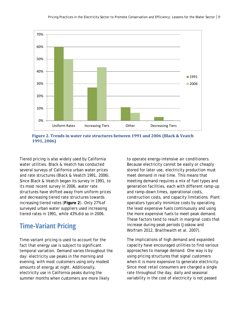

**Figure 2. Trends in water rate structures between 1991 and 2006 (Black & Veatch 1991, 2006)**

Tiered pricing is also widely used by California water utilities. Black & Veatch has conducted several surveys of California urban water prices and rate structures (Black & Veatch 1991, 2006). Since Black & Veatch began its survey in 1991, to its most recent survey in 2006, water rate structures have shifted away from uniform prices and decreasing tiered rate structures towards increasing tiered rates (**Figure 2**). Only 27% of surveyed urban water suppliers used increasing tiered rates in 1991, while 43% did so in 2006.

#### <span id="page-15-0"></span>**Time-Variant Pricing**

Time-variant pricing is used to account for the fact that energy use is subject to significant temporal variation. Demand varies throughout the day: electricity use peaks in the morning and evening, with most customers using only modest amounts of energy at night. Additionally, electricity use in California peaks during the summer months when customers are more likely

to operate energy-intensive air conditioners. Because electricity cannot be easily or cheaply stored for later use, electricity production must meet demand in real time. This means that meeting demand requires a mix of fuel types and generation facilities, each with different ramp-up and ramp-down times, operational costs, construction costs, and capacity limitations. Plant operators typically minimize costs by operating the least expensive fuels continuously and using the more expensive fuels to meet peak demand. These factors tend to result in marginal costs that increase during peak periods (Joskow and Wolfram 2012, Braithwaith et al. 2007).

The implications of high demand and expanded capacity have encouraged utilities to find various approaches to manage demand. One way is by using pricing structures that signal customers when it is more expensive to generate electricity. Since most retail consumers are charged a single rate throughout the day, daily and seasonal variability in the cost of electricity is not passed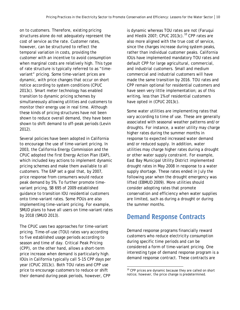on to customers. Therefore, existing pricing structures alone do not adequately represent the cost of service as the rate. Customer rates, however, can be structured to reflect the temporal variation in costs, providing the customer with an incentive to avoid consumption when marginal costs are relatively high. This type of rate structure is typically referred to as "timevariant" pricing. Some time-variant prices are dynamic, with price changes that occur on short notice according to system conditions (CPUC 2013c). Smart meter technology has enabled transition to dynamic pricing schemes by simultaneously allowing utilities and customers to monitor their energy use in real time. Although these kinds of pricing structures have not been shown to reduce overall demand, they have been shown to shift demand to off-peak periods (Levin 2012).

Several policies have been adopted in California to encourage the use of time-variant pricing. In 2003, the California Energy Commission and the CPUC adopted the first Energy Action Plan (EAP), which included key actions to implement dynamic pricing schemes and make them available to all customers. The EAP set a goal that, by 2007, price response from consumers would reduce peak demand by 5%. To further promote timevariant pricing, SB 695 of 2009 established guidance to transition IOU residential customers onto time-variant rates. Some POUs are also implementing time-variant pricing. For example, SMUD plans to have all users on time-variant rates by 2018 (SMUD 2013).

<span id="page-16-1"></span>The CPUC uses two approaches for time-variant pricing. Time-of-use (TOU) rates vary according to five established usage periods according to season and time of day. Critical Peak Pricing (CPP), on the other hand, allows a short-term price increase when demand is particularly high. IOUs in California typically call 5-15 CPP days per year (CPUC 2013c). Both TOU rates and CPP use price to encourage customers to reduce or shift their demand during peak periods, however, CPP

is dynamic whereas TOU rates are not (Faruqui and Hledik 2007; CPUC 2013c).<sup>[10](#page-16-1)</sup> CPP rates are also more aligned with the true cost of service, since the charges increase during system peaks, rather than individual customer peaks. California IOUs have implemented mandatory TOU rates and default CPP for large agricultural, commercial, and industrial customers. Small and medium commercial and industrial customers will have made the same transition by 2016. TOU rates and CPP remain optional for residential customers and have seen very little implementation; as of this writing, less than 1% of residential customers have opted in (CPUC 2013c).

Some water utilities are implementing rates that vary according to time of use. These are generally associated with seasonal weather patterns and/or droughts. For instance, a water utility may charge higher rates during the summer months in response to expected increased water demand and/or reduced supply. In addition, water utilities may charge higher rates during a drought or other water supply constraint. For example, East Bay Municipal Utility District implemented drought rates in May 2008 in response to a water supply shortage. These rates ended in July the following year when the drought emergency was lifted (EBMUD 2009). More utilities should consider adopting rates that promote conservation and efficiency when water supplies are limited, such as during a drought or during the summer months.

#### <span id="page-16-0"></span>**Demand Response Contracts**

Demand response programs financially reward customers who reduce electricity consumption during specific time periods and can be considered a form of time-variant pricing. One interesting type of demand response program is a demand response contract. These contracts are

<sup>&</sup>lt;sup>10</sup> CPP prices are dynamic because they are called on short notice; however, the price change is predetermined.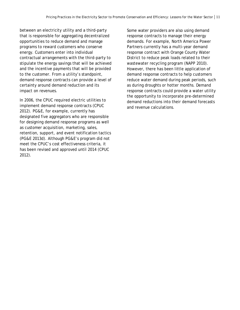between an electricity utility and a third-party that is responsible for aggregating decentralized opportunities to reduce demand and manage programs to reward customers who conserve energy. Customers enter into individual contractual arrangements with the third-party to stipulate the energy savings that will be achieved and the incentive payments that will be provided to the customer. From a utility's standpoint, demand response contracts can provide a level of certainty around demand reduction and its impact on revenues.

In 2006, the CPUC required electric utilities to implement demand response contracts (CPUC 2012). PG&E, for example, currently has designated five aggregators who are responsible for designing demand response programs as well as customer acquisition, marketing, sales, retention, support, and event notification tactics (PG&E 2013d). Although PG&E's program did not meet the CPUC's cost effectiveness criteria, it has been revised and approved until 2014 (CPUC 2012).

Some water providers are also using demand response contracts to manage their energy demands. For example, North America Power Partners currently has a multi-year demand response contract with Orange County Water District to reduce peak loads related to their wastewater recycling program (NAPP 2010). However, there has been little application of demand response contracts to help customers reduce water demand during peak periods, such as during droughts or hotter months. Demand response contracts could provide a water utility the opportunity to incorporate pre-determined demand reductions into their demand forecasts and revenue calculations.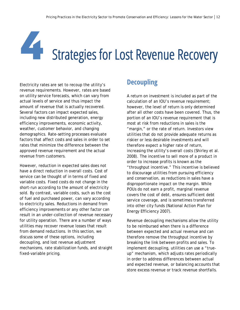**44 Strategies for Lost Revenue Recovery** 

Electricity rates are set to recoup the utility's revenue requirements. However, rates are based on utility service forecasts, which can vary from actual levels of service and thus impact the amount of revenue that is actually recovered. Several factors can impact expected sales, including new distributed generation, energy efficiency improvements, economic activity, weather, customer behavior, and changing demographics. Rate-setting processes evaluate factors that affect costs and sales in order to set rates that minimize the difference between the approved revenue requirement and the actual revenue from customers.

However, reduction in expected sales does not have a direct reduction in overall costs. Cost of service can be thought of in terms of fixed and variable costs. Fixed costs do not change in the short-run according to the amount of electricity sold. By contrast, variable costs, such as the cost of fuel and purchased power, can vary according to electricity sales. Reductions in demand from efficiency improvements or any other factor can result in an under-collection of revenue necessary for utility operation. There are a number of ways utilities may recover revenue losses that result from demand reductions. In this section, we discuss some of these options, including decoupling, and lost revenue adjustment mechanisms, rate stabilization funds, and straight fixed-variable pricing.

#### <span id="page-18-0"></span>**Decoupling**

A return on investment is included as part of the calculation of an IOU's revenue requirement; however, the level of return is only determined after all other costs have been covered. Thus, the portion of an IOU's revenue requirement that is most at risk from reductions in sales is the "margin," or the rate of return. Investors view utilities that do not provide adequate returns as riskier or less desirable investments and will therefore expect a higher rate of return, increasing the utility's overall costs (Shirley et al. 2008). The incentive to sell more of a product in order to increase profits is known as the "throughput incentive." This incentive is believed to discourage utilities from pursuing efficiency and conservation, as reductions in sales have a disproportionate impact on the margin. While POUs do not earn a profit, marginal revenue covers the cost of debt, ensures sufficient debt service coverage, and is sometimes transferred into other city funds (National Action Plan for Energy Efficiency 2007).

Revenue decoupling mechanisms allow the utility to be reimbursed when there is a difference between expected and actual revenue and can therefore remove the throughput incentive by breaking the link between profits and sales. To implement decoupling, utilities can use a "trueup" mechanism, which adjusts rates periodically in order to address differences between actual and expected revenue, or balancing accounts that store excess revenue or track revenue shortfalls.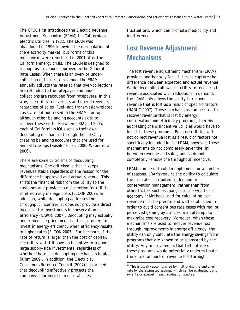The CPUC first introduced the Electric Revenue Adjustment Mechanism (ERAM) for California's electric utilities in 1982. The ERAM was abandoned in 1996 following the deregulation of the electricity market, but forms of this mechanism were reinstated in 2001 after the California energy crisis. The ERAM is designed to recoup lost revenues approved in the General Rate Cases. When there is an over- or undercollection of base rate revenue, the ERAM annually adjusts the rates so that over-collections are refunded to the ratepayer and undercollections are recouped from ratepayers. In this way, the utility recovers its authorized revenue, regardless of sales. Fuel- and transmission-related costs are not addressed in the ERAM true-up, although other balancing accounts exist to recover these costs. Between 2002 and 2005, each of California's IOUs set up their own decoupling mechanism through their GRC by creating balancing accounts that are used for annual true-ups (Kushler et al. 2006; Weber et al. 2006).

<span id="page-19-1"></span>There are some criticisms of decoupling mechanisms. One criticism is that it keeps revenues stable regardless of the reason for the difference in approved and actual revenue. This shifts the financial risk from the utility to the customer and provides a disincentive for utilities to effectively manage costs (ELCON 2007). In addition, while decoupling addresses the throughput incentive, it does not provide a direct incentive for investments in conservation or efficiency (NARUC 2007). Decoupling may actually undermine the price incentive for customers to invest in energy efficiency when efficiency results in higher rates (ELCON 2007). Furthermore, if the rate of return is larger than the cost of capital, the utility will still have an incentive to support large supply-side investments, regardless of whether there is a decoupling mechanism in place (Kihm 2009). In addition, the Electricity Consumers Resource Council (2007) has argued that decoupling effectively protects the company's earnings from natural sales

fluctuations, which can promote mediocrity and indifference.

#### <span id="page-19-0"></span>**Lost Revenue Adjustment Mechanisms**

The lost revenue adjustment mechanism (LRAM) provides another way for utilities to capture the difference between expected and actual revenue. While decoupling allows the utility to recover all revenue associated with reductions in demand, the LRAM only allows the utility to recover revenue that is lost as a result of specific factors (NARUC 2007). These mechanisms can be used to recover revenue that is lost by energy conservation and efficiency programs, thereby addressing the disincentive utilities would have to invest in these programs. Because utilities will not collect revenue lost as a result of factors not specifically included in the LRAM, however, these mechanisms do not completely sever the link between revenue and sales, and so do not completely remove the throughput incentive.

LRAMs can be difficult to implement for a number of reasons. LRAMs require the ability to calculate the lost sales attributed to demand or conservation management, rather than from other factors such as changes to the weather or economy.<sup>[11](#page-19-1)</sup> Methods used for calculating lost revenue must be precise and well established in order to avoid contentious rate cases with real or perceived gaming by utilities in an attempt to maximize cost recovery. Moreover, when these mechanisms are used to recover revenue lost through improvements in energy efficiency, the utility can only calculate the energy savings from programs that are known to or sponsored by the utility. Any improvements that fall outside of these programs would potentially underestimate the actual amount of revenue lost through

 $11$  This is usually accomplished by multiplying the customer rate by the estimated savings, which can be evaluated using ex-ante or ex-post impact evaluation studies.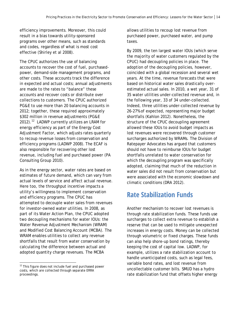efficiency improvements. Moreover, this could result in a bias towards utility-sponsored programs over other means, such as standards and codes, regardless of what is most cost effective (Shirley et al 2008).

The CPUC authorizes the use of balancing accounts to recover the cost of fuel, purchasedpower, demand-side management programs, and other costs. These accounts track the difference in expected and actual costs; annual adjustments are made to the rates to "balance" these accounts and recover costs or distribute over collections to customers. The CPUC authorized PG&E to use more than 20 balancing accounts in 2012; together, these required approximately \$302 million in revenue adjustments (PG&E 20[12](#page-20-1)).<sup>12</sup> LADWP currently utilizes an LRAM for energy efficiency as part of the Energy Cost Adjustment Factor, which adjusts rates quarterly to recoup revenue losses from conservation and efficiency programs (LADWP 2008). The ECAF is also responsible for recovering other lost revenue, including fuel and purchased power (PA Consulting Group 2010).

As in the energy sector, water rates are based on estimates of future demand, which can vary from actual levels of service and affect actual revenue. Here too, the throughput incentive impacts a utility's willingness to implement conservation and efficiency programs. The CPUC has attempted to decouple water sales from revenues for investor-owned water utilities. In 2008, as part of its Water Action Plan, the CPUC adopted two decoupling mechanisms for water IOUs: the Water Revenue Adjustment Mechanism (WRAM) and Modified Cost Balancing Account (MCBA). The WRAM enables utilities to collect any revenue shortfalls that result from water conservation by calculating the difference between actual and adopted quantity charge revenues. The MCBA

<span id="page-20-1"></span> $12$  This figure does not include fuel and purchased power costs, which are collected through separate ERRA proceedings.

allows utilities to recoup lost revenue from purchased power, purchased water, and pump taxes.

By 2009, the ten largest water IOUs (which serve the majority of water customers regulated by the CPUC) had decoupling policies in place. The adoption of the decoupling policies, however, coincided with a global recession and several wet years. At the time, revenue forecasts that were based on historical water sales drastically overestimated actual sales. In 2010, a wet year, 31 of 35 water utilities under-collected revenue and, in the following year, 33 of 34 under-collected. Indeed, three utilities under-collected revenue by 26-27% of expected, representing major budget shortfalls (Kahlon 2012). Nonetheless, the structure of the CPUC decoupling agreement allowed these IOUs to avoid budget impacts as lost revenues were recovered through customer surcharges authorized by WRAMs. The Division of Ratepayer Advocates has argued that customers should not have to reimburse IOUs for budget shortfalls unrelated to water conservation for which the decoupling program was specifically adopted, claiming that much of the reduction in water sales did not result from conservation but were associated with the economic slowdown and climatic conditions (DRA 2012).

#### <span id="page-20-0"></span>**Rate Stabilization Funds**

Another mechanism to recover lost revenues is through rate stabilization funds. These funds use surcharges to collect extra revenue to establish a reserve that can be used to mitigate unexpected increases in energy costs. Money can be collected through volumetric or fixed charges. These funds can also help shore-up bond ratings, thereby keeping the cost of capital low. LADWP, for example, utilizes a rate stabilization account to handle unanticipated costs, such as legal fees, variable bond rates, and lost revenue from uncollectable customer bills. SMUD has a hydro rate stabilization fund that offsets higher energy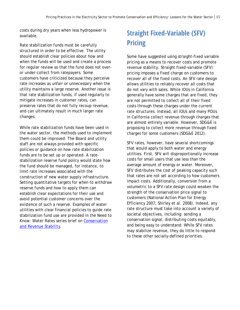costs during dry years when less hydropower is available.

Rate stabilization funds must be carefully structured in order to be effective. The utility should establish clear policies about how and when the funds will be used and create a process for regular review so that the fund does not overor under-collect from ratepayers. Some customers have criticized because they perceive rate increases as unfair or unnecessary when the utility maintains a large reserve. Another issue is that rate stabilization funds, if used regularly to mitigate increases in customer rates, can preserve rates that do not fully recoup revenue, and can ultimately result in much larger rate changes.

While rate stabilization funds have been used in the water sector, the methods used to implement them could be improved. The Board and utility staff are not always provided with specific policies or guidance on how rate stabilization funds are to be set up or operated. A ratestabilization reserve fund policy would state how the fund should be managed, for instance, to limit rate increases associated with the construction of new water supply infrastructure. Setting quantitative targets for when to withdraw reserve funds and how to apply them can establish clear expectations for their use and avoid potential customer concerns over the existence of such a reserve. Examples of water utilities with clear financial policies to guide rate stabilization fund use are provided in the Need to Know: Water Rates series brief on *[Conservation](http://www.pacinst.org/wp-content/uploads/2013/01/water-rates-conservation_and_revenue_stability.pdf)  [and Revenue Stability](http://www.pacinst.org/wp-content/uploads/2013/01/water-rates-conservation_and_revenue_stability.pdf)*.

#### <span id="page-21-0"></span>**Straight Fixed-Variable (SFV) Pricing**

Some have suggested using straight-fixed variable pricing as a means to recover costs and promote revenue stability. Straight fixed-variable (SFV) pricing imposes a fixed charge on customers to recover all of the fixed costs. An SFV rate design allows utilities to reliably recover all costs that do not vary with sales. While IOUs in California generally have some charges that are fixed, they are not permitted to collect all of their fixed costs through these charges under the current rate structures. Instead, all IOUs and many POUs in California collect revenue through charges that are almost entirely variable. However, SDG&E is proposing to collect more revenue through fixed charges for some customers (SDG&E 2012).

SFV rates, however, have several shortcomings that would apply to both water and energy utilities. First, SFV will disproportionally increase costs for small users that use less than the average amount of energy or water. Moreover, SFV distributes the cost of peaking capacity such that rates are not set according to how customers impact costs. Additionally, conversion from a volumetric to a SFV rate design could weaken the strength of the conservation price signal to customers (National Action Plan for Energy Efficiency 2007; Shirley et al. 2008). Indeed, any rate structure must take into account a variety of societal objectives, including: sending a conservation signal, distributing costs equitably, and being easy to understand. While SFV rates may stabilize revenue, they do little to respond to these other socially-defined priorities.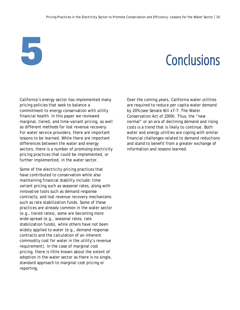# <span id="page-22-0"></span>**5** Conclusions

California's energy sector has implemented many pricing policies that seek to balance a commitment to energy conservation with utility financial health. In this paper we reviewed marginal, tiered, and time-variant pricing, as well as different methods for lost revenue recovery. For water service providers, there are important lessons to be learned. While there are important differences between the water and energy sectors, there is a number of promising electricity pricing practices that could be implemented, or further implemented, in the water sector.

Some of the electricity pricing practices that have contributed to conservation while also maintaining financial stability include: time variant pricing such as seasonal rates, along with innovative tools such as demand response contracts; and lost revenue recovery mechanisms such as rate stabilization funds. Some of these practices are already common in the water sector (e.g., tiered rates), some are becoming more wide-spread (e.g., seasonal rates, rate stabilization funds), while others have not been widely applied to water (e.g., demand response contracts and the calculation of an inherent commodity cost for water in the utility's revenue requirement). In the case of marginal cost pricing, there is little known about the extent of adoption in the water sector as there is no single, standard approach to marginal cost pricing or reporting.

Over the coming years, California water utilities are required to reduce per capita water demand by 20% (see Senate Bill x7-7: The Water Conservation Act of 2009). Thus, the "new normal" or an era of declining demand and rising costs is a trend that is likely to continue. Both water and energy utilities are coping with similar financial challenges related to demand reductions and stand to benefit from a greater exchange of information and lessons learned.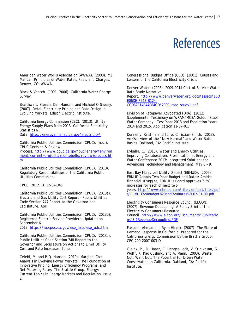### References

<span id="page-23-0"></span>American Water Works Association (AWWA). (2000). M1 Manual: Principles of Water Rates, Fees, and Charges. Denver, CO: AWWA.

Black & Veatch. (1991, 2006). California Water Charge Survey.

Braithwait, Steven, Dan Hansen, and Michael O'Sheasy. (2007). Retail Electricity Pricing and Rate Design in Evolving Markets. Edison Electric Institute.

California Energy Commission (CEC). (2013). Utility Energy Supply Plans from 2013. California Electricity Statistics & Data. <http://energyalmanac.ca.gov/electricity/>

California Public Utilities Commission (CPUC). (n.d.). CPUC Decision & Review

Process. [http://www.cpuc.ca.gov/puc/energy/environ](http://www.cpuc.ca.gov/puc/energy/environment/current+projects/montebello/review+process.htm) [ment/current+projects/montebello/review+process.ht](http://www.cpuc.ca.gov/puc/energy/environment/current+projects/montebello/review+process.htm) [m](http://www.cpuc.ca.gov/puc/energy/environment/current+projects/montebello/review+process.htm)

California Public Utilities Commission (CPUC). (2010). Regulatory Responsibilities of the California Public Utilities Commission.

CPUC. 2012. D. 12-04-045

California Public Utilities Commission (CPUC). (2013a). Electric and Gas Utility Cost Report – Public Utilities Code Section 747 Report to the Governor and Legislature. April.

California Public Utilities Commission (CPUC). (2013b). Registered Electric Service Providers. Updated on September 6, 2013. [https://ia.cpuc.ca.gov/esp\\_lists/esp\\_udc.htm](https://ia.cpuc.ca.gov/esp_lists/esp_udc.htm)

California Public Utilities Commission (CPUC). (2013c). Public Utilities Code Section 748 Report to the Governor and Legislature on Actions to Limit Utility Cost and Rate Increases. June.

Celebi, M. and P.Q. Hanser. (2010). Marginal Cost Analysis in Evolving Power Markets: The Foundation of Innovative Pricing, Energy Efficiency Programs, and Net Metering Rates. The Brattle Group, Energy: Current Topics in Energy Markets and Regulation, Issue 2.

Congressional Budget Office (CBO). (2001). Causes and Lessons of the California Electricity Crisis.

Denver Water. (2008). 2009-2011 Cost-of-Service Water Rate Study Narrative Report. [http://www.denverwater.org/docs/assets/15D](http://www.denverwater.org/docs/assets/15DE06DE-F54B-B124-CCD82F14E44084CD/2009_rate_study1.pdf) [E06DE-F54B-B124-](http://www.denverwater.org/docs/assets/15DE06DE-F54B-B124-CCD82F14E44084CD/2009_rate_study1.pdf) [CCD82F14E44084CD/2009\\_rate\\_study1.pdf](http://www.denverwater.org/docs/assets/15DE06DE-F54B-B124-CCD82F14E44084CD/2009_rate_study1.pdf)

Division of Ratepayer Advocated (DRA). (2012). Supplemental Testimony on WRAM/MCBA Golden State Water Company - Test Year 2013 and Escalation Years 2014 and 2015. Application 11-07-017

Donnelly, Kristina and Juliet Christian-Smith. (2013). An Overview of the "New Normal" and Water Rate Basics. Oakland, CA: Pacific Institute.

Dyballa, C. (2013). Water and Energy Utilities: Improving Collaboration. Presentation at Energy and Water Conference 2013: Integrated Solutions for Advancing Technology and Management, May 6 – 9.

East Bay Municipal Utility District (EBMUD). (2009) EBMUD Adopts Two-Year Budget and Rates: Amidst financial struggles, EBMUD's Board approves 7.5% increases for each of next two years. [http://www.ebmud.com/sites/default/files/pdf](http://www.ebmud.com/sites/default/files/pdfs/EBMUD%20Budget%20and%20Rates%2007-01-09.pdf) [s/EBMUD%20Budget%20and%20Rates%2007-01-09.pdf](http://www.ebmud.com/sites/default/files/pdfs/EBMUD%20Budget%20and%20Rates%2007-01-09.pdf)

Electricity Consumers Resource Council (ELCON). (2007). Revenue Decoupling: A Policy Brief of the Electricity Consumers Resource Council. [http://www.elcon.org/Documents/Publicatio](http://www.elcon.org/Documents/Publications/3-1RevenueDecoupling.PDF) [ns/3-1RevenueDecoupling.PDF](http://www.elcon.org/Documents/Publications/3-1RevenueDecoupling.PDF)

Faruqui, Ahmad and Ryan Hledik. (2007). The State of Demand Response in California. Prepared for the California Energy Commission by the Brattle Group. CEC-200-2007-003-D.

Gleick, P., D. Haasz, C. Henges-Jeck, V. Srinivasan, G. Wolff, K. Kao Cushing, and A. Mann. (2003). Waste Not, Want Not: The Potential for Urban Water Conservation in California. Oakland, CA: Pacific Institute.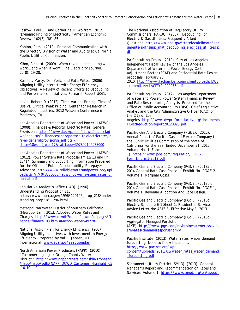Joskow, Paul L., and Catherine D. Wolfram. 2012. "Dynamic Pricing of Electricity." American Economic Review, 102(3): 381-85.

Kahlon, Rami. (2012). Personal Communication with the Director, Division of Water and Audits at California Public Utilities Commission.

Kihm, Richard. (2009). When revenue decoupling will work… and when it wont. The Electricity Journal, 22(8), 19-28.

Kushler, Marty, Dan York, and Patti Witte. (2006). Aligning Utility Interests with Energy Efficiency Objectives: A Review of Recent Efforts at Decoupling and Performance Initiatives. Research Report U061.

Levin, Robert D. (2012). Time-Variant Pricing: Time-of-Use vs. Critical Peak Pricing. Center for Research in Regulated Industries, 2012 Western Conference in Monterey, CA.

Los Angeles Department of Water and Power (LADWP). (2008). Finances & Reports, Electric Rates. General Provisions. [https://www.ladwp.com/ladwp/faces/lad](https://www.ladwp.com/ladwp/faces/ladwp/aboutus/a-financesandreports/a-fr-electricrates/a-fr-er-generalprovisions?_adf.ctrl-state=18eshh2jwu_17&_afrLoop=397892106978000) [wp/aboutus/a-financesandreports/a-fr-electricrates/a](https://www.ladwp.com/ladwp/faces/ladwp/aboutus/a-financesandreports/a-fr-electricrates/a-fr-er-generalprovisions?_adf.ctrl-state=18eshh2jwu_17&_afrLoop=397892106978000)[fr-er-generalprovisions?\\_adf.ctrl](https://www.ladwp.com/ladwp/faces/ladwp/aboutus/a-financesandreports/a-fr-electricrates/a-fr-er-generalprovisions?_adf.ctrl-state=18eshh2jwu_17&_afrLoop=397892106978000)[state=18eshh2jwu\\_17&\\_afrLoop=397892106978000](https://www.ladwp.com/ladwp/faces/ladwp/aboutus/a-financesandreports/a-fr-electricrates/a-fr-er-generalprovisions?_adf.ctrl-state=18eshh2jwu_17&_afrLoop=397892106978000)

Los Angeles Department of Water and Power (LADWP). (2012). Power System Rate Proposal FY 12/13 and FY 13/14, Summary and Supporting Information Prepared for the Office of Public Accountability/Ratepayer Advocate. [http://www.reliablewaterandpower.org/upl](http://www.reliablewaterandpower.org/uploads/3/7/7/0/3770006/ladwp_power_system_rates_proposal.pdf) [oads/3/7/7/0/3770006/ladwp\\_power\\_system\\_rates\\_pr](http://www.reliablewaterandpower.org/uploads/3/7/7/0/3770006/ladwp_power_system_rates_proposal.pdf) [oposal.pdf](http://www.reliablewaterandpower.org/uploads/3/7/7/0/3770006/ladwp_power_system_rates_proposal.pdf)

Legislative Analyst's Office (LAO). (1996). Understanding Proposition 218. http://www.lao.ca.gov/1996/120196\_prop\_218/under standing\_prop218\_1296.html

Metropolitan Water District of Southern California (Metropolitan). 2013. Adopted Water Rates and Charges. [http://www.mwdh2o.com/mwdh2o/pages/fi](http://www.mwdh2o.com/mwdh2o/pages/finance/finance_03.html#Anchor-Water-49278) [nance/finance\\_03.html#Anchor-Water-49278](http://www.mwdh2o.com/mwdh2o/pages/finance/finance_03.html#Anchor-Water-49278)

National Action Plan for Energy Efficiency. (2007). Aligning Utility Incentives with Investment in Energy Efficiency. Prepared by Val R. Jensen, ICF International. [www.epa.gov/eeactionplan](http://www.epa.gov/eeactionplan)

North American Power Producers (NAPP). (2010). "Customer highlight: Orange County Water District." [http://www.nappartners.com/skin/frontend](http://www.nappartners.com/skin/frontend/napp/napp/pdfs/NAPP_OCWD_Customer_Highlight_05-10-10.pdf) [/napp/napp/pdfs/NAPP\\_OCWD\\_Customer\\_Highlight\\_05](http://www.nappartners.com/skin/frontend/napp/napp/pdfs/NAPP_OCWD_Customer_Highlight_05-10-10.pdf) [-10-10.pdf](http://www.nappartners.com/skin/frontend/napp/napp/pdfs/NAPP_OCWD_Customer_Highlight_05-10-10.pdf)

The National Association of Regulatory Utility Commissioners (NARUC). (2007). Decoupling For Electric & Gas Utilities: Frequently Asked Questions. [http://www.epa.gov/statelocalclimate/doc](http://www.epa.gov/statelocalclimate/documents/pdf/supp_mat_decoupling_elec_gas_utilities.pdf) [uments/pdf/supp\\_mat\\_decoupling\\_elec\\_gas\\_utilities.p](http://www.epa.gov/statelocalclimate/documents/pdf/supp_mat_decoupling_elec_gas_utilities.pdf) [df](http://www.epa.gov/statelocalclimate/documents/pdf/supp_mat_decoupling_elec_gas_utilities.pdf)

PA Consulting Group. (2010). City of Los Angeles Independent Fiscal Review of the Los Angeles Department of Water and Power Energy Cost Adjustment Factor (ECAF) and Residential Rate Design proposals February 25,

2010. [http://www.lachamber.com/clientuploads/EWE](http://www.lachamber.com/clientuploads/EWE_committee/LACITYP_009075.pdf) [\\_committee/LACITYP\\_009075.pdf](http://www.lachamber.com/clientuploads/EWE_committee/LACITYP_009075.pdf)

PA Consulting Group. (2012). Los Angeles Department of Water and Power, Power System Financial Review and Rate Restructuring Analysis, Prepared for the Office of Public Accountability (OPA), Chief Legislative Analyst and the City Administrative Officer (CAO) of the City of Los

Angeles. [http://www.dwpreform.lacity.org/documents](http://www.dwpreform.lacity.org/documents/CostReductionReport20120823.pdf) [/CostReductionReport20120823.pdf](http://www.dwpreform.lacity.org/documents/CostReductionReport20120823.pdf)

Pacific Gas And Electric Company (PG&E). (2012). Annual Report of Pacific Gas and Electric Company to the Public Utilities Commission of the State of California For the Year Ended December 31, 2012. Volume No. 1 (Form 1). [https://www.pge.com/regulation/FERC-](https://www.pge.com/regulation/FERC-Form1/form1-2012.pdf)[Form1/form1-2012.pdf](https://www.pge.com/regulation/FERC-Form1/form1-2012.pdf)

Pacific Gas and Electric Company (PG&E). (2013a). 2014 General Rate Case Phase II, Exhibit No. PG&E-2. Volume 1, Marginal Costs.

Pacific Gas and Electric Company (PG&E). (2013b). 2014 General Rate Case Phase II, Exhibit No. PG&E-1, Volume 1, Revenue Allocation And Rate Design.

Pacific Gas and Electric Company (PG&E). (2013c). Electric Schedule E-1 Sheet 1, Residential Services. Advice Letter No: 4212-E. Effective May 1, 2013.

Pacific Gas and Electric Company (PG&E). (2013d). Aggregator Managed Portfolio (AMP). [http://www.pge.com/mybusiness/energysaving](http://www.pge.com/mybusiness/energysavingsrebates/demandresponse/amp/) [srebates/demandresponse/amp/](http://www.pge.com/mybusiness/energysavingsrebates/demandresponse/amp/)

Pacific Institute. (2013). Water rates: water demand forecasting. Need to Know factsheet. http://www.pacinst.org/wpcontent/uploads/2013/01/water\_rates\_water\_demand \_forecasting.pdf

Sacramento Utility District (SMUD). (2013). General Manager's Report and Recommendation on Rates and Services. Volume 1. [https://www.smud.org/en/about-](https://www.smud.org/en/about-smud/company-information/document-library/documents/2013-GM-Rate-Report-Vol-1.pdf)